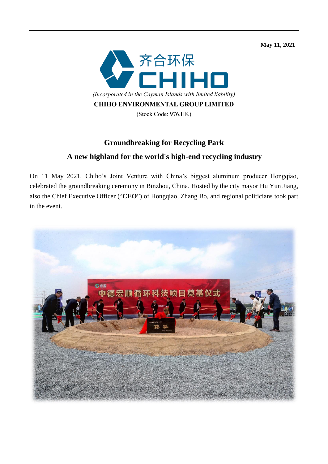**May 11, 2021** 



## **Groundbreaking for Recycling Park A new highland for the world's high-end recycling industry**

On 11 May 2021, Chiho's Joint Venture with China's biggest aluminum producer Hongqiao, celebrated the groundbreaking ceremony in Binzhou, China. Hosted by the city mayor Hu Yun Jiang, also the Chief Executive Officer ("**CEO**") of Hongqiao, Zhang Bo, and regional politicians took part in the event.